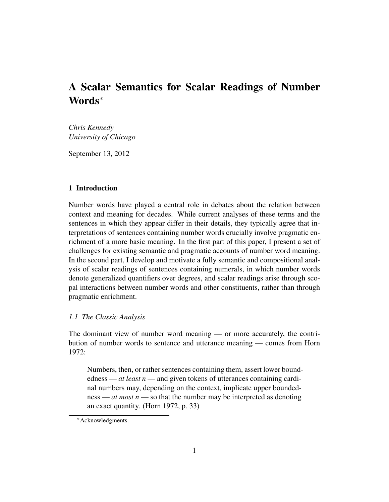# A Scalar Semantics for Scalar Readings of Number Words<sup>∗</sup>

*Chris Kennedy University of Chicago*

September 13, 2012

# 1 Introduction

Number words have played a central role in debates about the relation between context and meaning for decades. While current analyses of these terms and the sentences in which they appear differ in their details, they typically agree that interpretations of sentences containing number words crucially involve pragmatic enrichment of a more basic meaning. In the first part of this paper, I present a set of challenges for existing semantic and pragmatic accounts of number word meaning. In the second part, I develop and motivate a fully semantic and compositional analysis of scalar readings of sentences containing numerals, in which number words denote generalized quantifiers over degrees, and scalar readings arise through scopal interactions between number words and other constituents, rather than through pragmatic enrichment.

# *1.1 The Classic Analysis*

The dominant view of number word meaning — or more accurately, the contribution of number words to sentence and utterance meaning — comes from Horn 1972:

Numbers, then, or rather sentences containing them, assert lower boundedness — *at least n* — and given tokens of utterances containing cardinal numbers may, depending on the context, implicate upper boundedness — *at most n* — so that the number may be interpreted as denoting an exact quantity. (Horn 1972, p. 33)

<sup>∗</sup>Acknowledgments.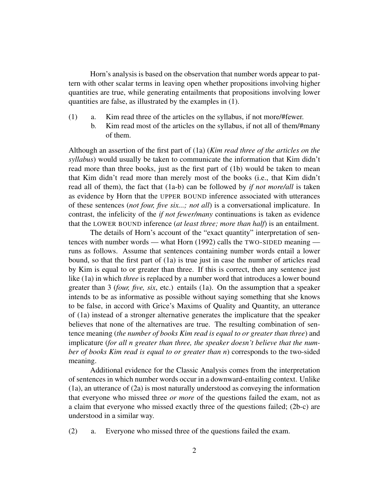Horn's analysis is based on the observation that number words appear to pattern with other scalar terms in leaving open whether propositions involving higher quantities are true, while generating entailments that propositions involving lower quantities are false, as illustrated by the examples in (1).

- (1) a. Kim read three of the articles on the syllabus, if not more/#fewer.
	- b. Kim read most of the articles on the syllabus, if not all of them/#many of them.

Although an assertion of the first part of (1a) (*Kim read three of the articles on the syllabus*) would usually be taken to communicate the information that Kim didn't read more than three books, just as the first part of (1b) would be taken to mean that Kim didn't read more than merely most of the books (i.e., that Kim didn't read all of them), the fact that (1a-b) can be followed by *if not more/all* is taken as evidence by Horn that the UPPER BOUND inference associated with utterances of these sentences (*not four, five six...; not all*) is a conversational implicature. In contrast, the infelicity of the *if not fewer/many* continuations is taken as evidence that the LOWER BOUND inference (*at least three; more than half*) is an entailment.

The details of Horn's account of the "exact quantity" interpretation of sentences with number words — what Horn (1992) calls the TWO-SIDED meaning runs as follows. Assume that sentences containing number words entail a lower bound, so that the first part of (1a) is true just in case the number of articles read by Kim is equal to or greater than three. If this is correct, then any sentence just like (1a) in which *three* is replaced by a number word that introduces a lower bound greater than 3 (*four, five, six*, etc.) entails (1a). On the assumption that a speaker intends to be as informative as possible without saying something that she knows to be false, in accord with Grice's Maxims of Quality and Quantity, an utterance of (1a) instead of a stronger alternative generates the implicature that the speaker believes that none of the alternatives are true. The resulting combination of sentence meaning (*the number of books Kim read is equal to or greater than three*) and implicature (*for all n greater than three, the speaker doesn't believe that the number of books Kim read is equal to or greater than n*) corresponds to the two-sided meaning.

Additional evidence for the Classic Analysis comes from the interpretation of sentences in which number words occur in a downward-entailing context. Unlike (1a), an utterance of (2a) is most naturally understood as conveying the information that everyone who missed three *or more* of the questions failed the exam, not as a claim that everyone who missed exactly three of the questions failed; (2b-c) are understood in a similar way.

(2) a. Everyone who missed three of the questions failed the exam.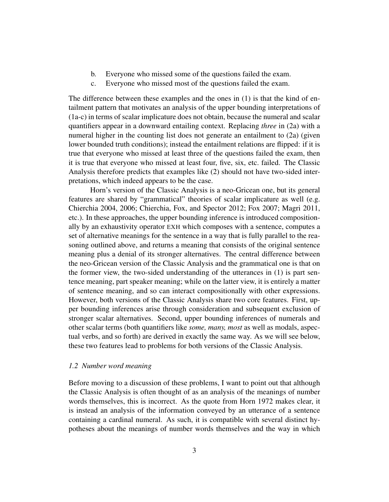- b. Everyone who missed some of the questions failed the exam.
- c. Everyone who missed most of the questions failed the exam.

The difference between these examples and the ones in (1) is that the kind of entailment pattern that motivates an analysis of the upper bounding interpretations of (1a-c) in terms of scalar implicature does not obtain, because the numeral and scalar quantifiers appear in a downward entailing context. Replacing *three* in (2a) with a numeral higher in the counting list does not generate an entailment to (2a) (given lower bounded truth conditions); instead the entailment relations are flipped: if it is true that everyone who missed at least three of the questions failed the exam, then it is true that everyone who missed at least four, five, six, etc. failed. The Classic Analysis therefore predicts that examples like (2) should not have two-sided interpretations, which indeed appears to be the case.

Horn's version of the Classic Analysis is a neo-Gricean one, but its general features are shared by "grammatical" theories of scalar implicature as well (e.g. Chierchia 2004, 2006; Chierchia, Fox, and Spector 2012; Fox 2007; Magri 2011, etc.). In these approaches, the upper bounding inference is introduced compositionally by an exhaustivity operator EXH which composes with a sentence, computes a set of alternative meanings for the sentence in a way that is fully parallel to the reasoning outlined above, and returns a meaning that consists of the original sentence meaning plus a denial of its stronger alternatives. The central difference between the neo-Gricean version of the Classic Analysis and the grammatical one is that on the former view, the two-sided understanding of the utterances in (1) is part sentence meaning, part speaker meaning; while on the latter view, it is entirely a matter of sentence meaning, and so can interact compositionally with other expressions. However, both versions of the Classic Analysis share two core features. First, upper bounding inferences arise through consideration and subsequent exclusion of stronger scalar alternatives. Second, upper bounding inferences of numerals and other scalar terms (both quantifiers like *some, many, most* as well as modals, aspectual verbs, and so forth) are derived in exactly the same way. As we will see below, these two features lead to problems for both versions of the Classic Analysis.

# *1.2 Number word meaning*

Before moving to a discussion of these problems, I want to point out that although the Classic Analysis is often thought of as an analysis of the meanings of number words themselves, this is incorrect. As the quote from Horn 1972 makes clear, it is instead an analysis of the information conveyed by an utterance of a sentence containing a cardinal numeral. As such, it is compatible with several distinct hypotheses about the meanings of number words themselves and the way in which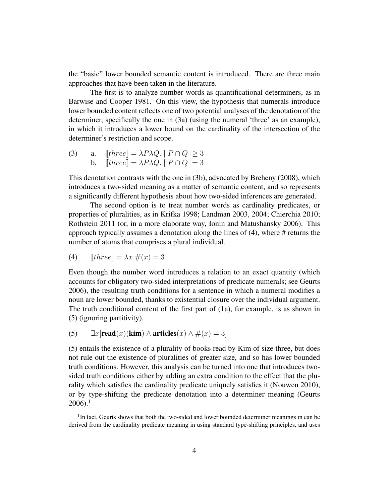the "basic" lower bounded semantic content is introduced. There are three main approaches that have been taken in the literature.

The first is to analyze number words as quantificational determiners, as in Barwise and Cooper 1981. On this view, the hypothesis that numerals introduce lower bounded content reflects one of two potential analyses of the denotation of the determiner, specifically the one in (3a) (using the numeral 'three' as an example), in which it introduces a lower bound on the cardinality of the intersection of the determiner's restriction and scope.

(3) a.  $[three] = \lambda P \lambda Q$ .  $|P \cap Q| \ge 3$ b.  $[three] = \lambda P \lambda Q$ .  $|P \cap Q| = 3$ 

This denotation contrasts with the one in (3b), advocated by Breheny (2008), which introduces a two-sided meaning as a matter of semantic content, and so represents a significantly different hypothesis about how two-sided inferences are generated.

The second option is to treat number words as cardinality predicates, or properties of pluralities, as in Krifka 1998; Landman 2003, 2004; Chierchia 2010; Rothstein 2011 (or, in a more elaborate way, Ionin and Matushansky 2006). This approach typically assumes a denotation along the lines of (4), where # returns the number of atoms that comprises a plural individual.

$$
(4) \qquad [three] = \lambda x. \#(x) = 3
$$

Even though the number word introduces a relation to an exact quantity (which accounts for obligatory two-sided interpretations of predicate numerals; see Geurts 2006), the resulting truth conditions for a sentence in which a numeral modifies a noun are lower bounded, thanks to existential closure over the individual argument. The truth conditional content of the first part of (1a), for example, is as shown in (5) (ignoring partitivity).

(5) 
$$
\exists x
$$
[read(x)(kim)  $\land$  articles(x)  $\land \#(x) = 3$ ]

(5) entails the existence of a plurality of books read by Kim of size three, but does not rule out the existence of pluralities of greater size, and so has lower bounded truth conditions. However, this analysis can be turned into one that introduces twosided truth conditions either by adding an extra condition to the effect that the plurality which satisfies the cardinality predicate uniquely satisfies it (Nouwen 2010), or by type-shifting the predicate denotation into a determiner meaning (Geurts  $2006$ ).<sup>1</sup>

<sup>&</sup>lt;sup>1</sup>In fact, Geurts shows that both the two-sided and lower bounded determiner meanings in can be derived from the cardinality predicate meaning in using standard type-shifting principles, and uses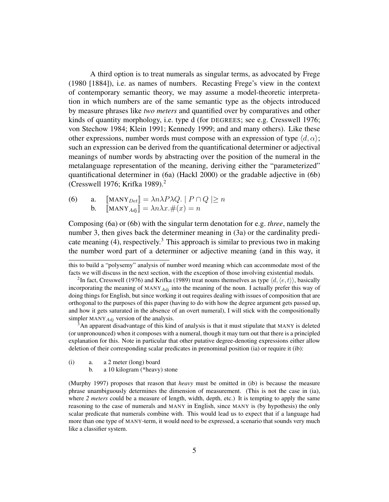A third option is to treat numerals as singular terms, as advocated by Frege (1980 [1884]), i.e. as names of numbers. Recasting Frege's view in the context of contemporary semantic theory, we may assume a model-theoretic interpretation in which numbers are of the same semantic type as the objects introduced by measure phrases like *two meters* and quantified over by comparatives and other kinds of quantity morphology, i.e. type d (for DEGREES; see e.g. Cresswell 1976; von Stechow 1984; Klein 1991; Kennedy 1999; and and many others). Like these other expressions, number words must compose with an expression of type  $\langle d, \alpha \rangle$ ; such an expression can be derived from the quantificational determiner or adjectival meanings of number words by abstracting over the position of the numeral in the metalanguage representation of the meaning, deriving either the "parameterized" quantificational determiner in (6a) (Hackl 2000) or the gradable adjective in (6b) (Cresswell 1976; Krifka 1989).<sup>2</sup>

(6) a. 
$$
\[\text{MANY}_{Det}\] = \lambda n \lambda P \lambda Q. \mid P \cap Q \mid \geq n
$$
  
b. 
$$
\[\text{MANY}_{Adj}\] = \lambda n \lambda x. \#(x) = n
$$

Composing (6a) or (6b) with the singular term denotation for e.g. *three*, namely the number 3, then gives back the determiner meaning in (3a) or the cardinality predicate meaning (4), respectively.<sup>3</sup> This approach is similar to previous two in making the number word part of a determiner or adjective meaning (and in this way, it

<sup>3</sup>An apparent disadvantage of this kind of analysis is that it must stipulate that MANY is deleted (or unpronounced) when it composes with a numeral, though it may turn out that there is a principled explanation for this. Note in particular that other putative degree-denoting expressions either allow deletion of their corresponding scalar predicates in prenominal position (ia) or require it (ib):

- (i) a. a 2 meter (long) board
	- b. a 10 kilogram (\*heavy) stone

(Murphy 1997) proposes that reason that *heavy* must be omitted in (ib) is because the measure phrase unambiguously determines the dimension of measurement. (This is not the case in (ia), where 2 *meters* could be a measure of length, width, depth, etc.) It is tempting to apply the same reasoning to the case of numerals and MANY in English, since MANY is (by hypothesis) the only scalar predicate that numerals combine with. This would lead us to expect that if a language had more than one type of MANY-term, it would need to be expressed, a scenario that sounds very much like a classifier system.

this to build a "polysemy" analysis of number word meaning which can accommodate most of the facts we will discuss in the next section, with the exception of those involving existential modals.

<sup>&</sup>lt;sup>2</sup>In fact, Cresswell (1976) and Krifka (1989) treat nouns themselves as type  $\langle d, \langle e, t \rangle \rangle$ , basically incorporating the meaning of  $MANY_{Adj}$  into the meaning of the noun. I actually prefer this way of doing things for English, but since working it out requires dealing with issues of composition that are orthogonal to the purposes of this paper (having to do with how the degree argument gets passed up, and how it gets saturated in the absence of an overt numeral), I will stick with the compositionally simpler  $MANY_{Adj}$  version of the analysis.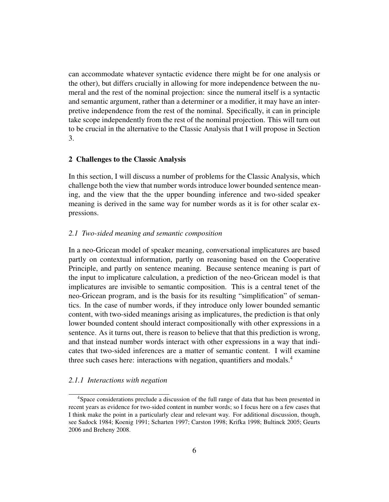can accommodate whatever syntactic evidence there might be for one analysis or the other), but differs crucially in allowing for more independence between the numeral and the rest of the nominal projection: since the numeral itself is a syntactic and semantic argument, rather than a determiner or a modifier, it may have an interpretive independence from the rest of the nominal. Specifically, it can in principle take scope independently from the rest of the nominal projection. This will turn out to be crucial in the alternative to the Classic Analysis that I will propose in Section 3.

#### 2 Challenges to the Classic Analysis

In this section, I will discuss a number of problems for the Classic Analysis, which challenge both the view that number words introduce lower bounded sentence meaning, and the view that the the upper bounding inference and two-sided speaker meaning is derived in the same way for number words as it is for other scalar expressions.

# *2.1 Two-sided meaning and semantic composition*

In a neo-Gricean model of speaker meaning, conversational implicatures are based partly on contextual information, partly on reasoning based on the Cooperative Principle, and partly on sentence meaning. Because sentence meaning is part of the input to implicature calculation, a prediction of the neo-Gricean model is that implicatures are invisible to semantic composition. This is a central tenet of the neo-Gricean program, and is the basis for its resulting "simplification" of semantics. In the case of number words, if they introduce only lower bounded semantic content, with two-sided meanings arising as implicatures, the prediction is that only lower bounded content should interact compositionally with other expressions in a sentence. As it turns out, there is reason to believe that that this prediction is wrong, and that instead number words interact with other expressions in a way that indicates that two-sided inferences are a matter of semantic content. I will examine three such cases here: interactions with negation, quantifiers and modals.<sup>4</sup>

# *2.1.1 Interactions with negation*

<sup>4</sup>Space considerations preclude a discussion of the full range of data that has been presented in recent years as evidence for two-sided content in number words; so I focus here on a few cases that I think make the point in a particularly clear and relevant way. For additional discussion, though, see Sadock 1984; Koenig 1991; Scharten 1997; Carston 1998; Krifka 1998; Bultinck 2005; Geurts 2006 and Breheny 2008.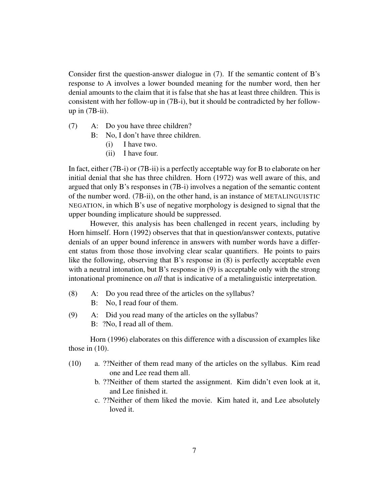Consider first the question-answer dialogue in (7). If the semantic content of B's response to A involves a lower bounded meaning for the number word, then her denial amounts to the claim that it is false that she has at least three children. This is consistent with her follow-up in (7B-i), but it should be contradicted by her followup in  $(7B-ii)$ .

- (7) A: Do you have three children?
	- B: No. I don't have three children.
		- (i) I have two.
		- (ii) I have four.

In fact, either (7B-i) or (7B-ii) is a perfectly acceptable way for B to elaborate on her initial denial that she has three children. Horn (1972) was well aware of this, and argued that only B's responses in (7B-i) involves a negation of the semantic content of the number word. (7B-ii), on the other hand, is an instance of METALINGUISTIC NEGATION, in which B's use of negative morphology is designed to signal that the upper bounding implicature should be suppressed.

However, this analysis has been challenged in recent years, including by Horn himself. Horn (1992) observes that that in question/answer contexts, putative denials of an upper bound inference in answers with number words have a different status from those those involving clear scalar quantifiers. He points to pairs like the following, observing that B's response in (8) is perfectly acceptable even with a neutral intonation, but B's response in (9) is acceptable only with the strong intonational prominence on *all* that is indicative of a metalinguistic interpretation.

- (8) A: Do you read three of the articles on the syllabus? B: No, I read four of them.
- (9) A: Did you read many of the articles on the syllabus? B: ?No, I read all of them.

Horn (1996) elaborates on this difference with a discussion of examples like those in (10).

- (10) a. ??Neither of them read many of the articles on the syllabus. Kim read one and Lee read them all.
	- b. ??Neither of them started the assignment. Kim didn't even look at it, and Lee finished it.
	- c. ??Neither of them liked the movie. Kim hated it, and Lee absolutely loved it.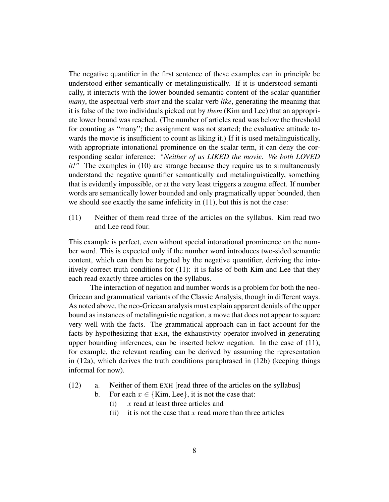The negative quantifier in the first sentence of these examples can in principle be understood either semantically or metalinguistically. If it is understood semantically, it interacts with the lower bounded semantic content of the scalar quantifier *many*, the aspectual verb *start* and the scalar verb *like*, generating the meaning that it is false of the two individuals picked out by *them* (Kim and Lee) that an appropriate lower bound was reached. (The number of articles read was below the threshold for counting as "many"; the assignment was not started; the evaluative attitude towards the movie is insufficient to count as liking it.) If it is used metalinguistically, with appropriate intonational prominence on the scalar term, it can deny the corresponding scalar inference: *"Neither of us LIKED the movie. We both LOVED it!"* The examples in (10) are strange because they require us to simultaneously understand the negative quantifier semantically and metalinguistically, something that is evidently impossible, or at the very least triggers a zeugma effect. If number words are semantically lower bounded and only pragmatically upper bounded, then we should see exactly the same infelicity in (11), but this is not the case:

(11) Neither of them read three of the articles on the syllabus. Kim read two and Lee read four.

This example is perfect, even without special intonational prominence on the number word. This is expected only if the number word introduces two-sided semantic content, which can then be targeted by the negative quantifier, deriving the intuitively correct truth conditions for (11): it is false of both Kim and Lee that they each read exactly three articles on the syllabus.

The interaction of negation and number words is a problem for both the neo-Gricean and grammatical variants of the Classic Analysis, though in different ways. As noted above, the neo-Gricean analysis must explain apparent denials of the upper bound as instances of metalinguistic negation, a move that does not appear to square very well with the facts. The grammatical approach can in fact account for the facts by hypothesizing that EXH, the exhaustivity operator involved in generating upper bounding inferences, can be inserted below negation. In the case of (11), for example, the relevant reading can be derived by assuming the representation in (12a), which derives the truth conditions paraphrased in (12b) (keeping things informal for now).

- (12) a. Neither of them EXH [read three of the articles on the syllabus]
	- b. For each  $x \in \{$ Kim, Lee $\}$ , it is not the case that:
		- (i)  $x$  read at least three articles and
		- (ii) it is not the case that x read more than three articles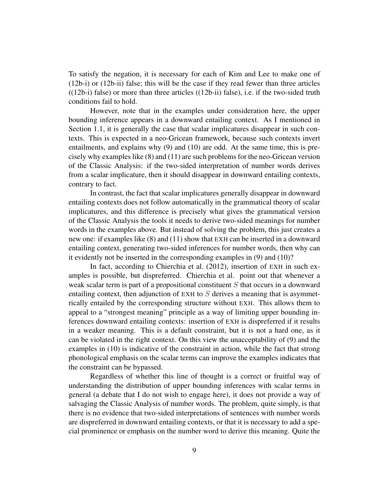To satisfy the negation, it is necessary for each of Kim and Lee to make one of (12b-i) or (12b-ii) false; this will be the case if they read fewer than three articles  $((12b-i)$  false) or more than three articles  $((12b-i)$  false), i.e. if the two-sided truth conditions fail to hold.

However, note that in the examples under consideration here, the upper bounding inference appears in a downward entailing context. As I mentioned in Section 1.1, it is generally the case that scalar implicatures disappear in such contexts. This is expected in a neo-Gricean framework, because such contexts invert entailments, and explains why (9) and (10) are odd. At the same time, this is precisely why examples like (8) and (11) are such problems for the neo-Gricean version of the Classic Analysis: if the two-sided interpretation of number words derives from a scalar implicature, then it should disappear in downward entailing contexts, contrary to fact.

In contrast, the fact that scalar implicatures generally disappear in downward entailing contexts does not follow automatically in the grammatical theory of scalar implicatures, and this difference is precisely what gives the grammatical version of the Classic Analysis the tools it needs to derive two-sided meanings for number words in the examples above. But instead of solving the problem, this just creates a new one: if examples like (8) and (11) show that EXH can be inserted in a downward entailing context, generating two-sided inferences for number words, then why can it evidently not be inserted in the corresponding examples in (9) and (10)?

In fact, according to Chierchia et al. (2012), insertion of EXH in such examples is possible, but dispreferred. Chierchia et al. point out that whenever a weak scalar term is part of a propositional constituent S that occurs in a downward entailing context, then adjunction of EXH to  $S$  derives a meaning that is asymmetrically entailed by the corresponding structure without EXH. This allows them to appeal to a "strongest meaning" principle as a way of limiting upper bounding inferences downward entailing contexts: insertion of EXH is dispreferred if it results in a weaker meaning. This is a default constraint, but it is not a hard one, as it can be violated in the right context. On this view the unacceptability of (9) and the examples in (10) is indicative of the constraint in action, while the fact that strong phonological emphasis on the scalar terms can improve the examples indicates that the constraint can be bypassed.

Regardless of whether this line of thought is a correct or fruitful way of understanding the distribution of upper bounding inferences with scalar terms in general (a debate that I do not wish to engage here), it does not provide a way of salvaging the Classic Analysis of number words. The problem, quite simply, is that there is no evidence that two-sided interpretations of sentences with number words are dispreferred in downward entailing contexts, or that it is necessary to add a special prominence or emphasis on the number word to derive this meaning. Quite the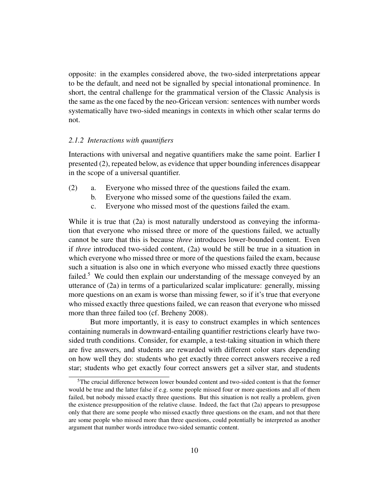opposite: in the examples considered above, the two-sided interpretations appear to be the default, and need not be signalled by special intonational prominence. In short, the central challenge for the grammatical version of the Classic Analysis is the same as the one faced by the neo-Gricean version: sentences with number words systematically have two-sided meanings in contexts in which other scalar terms do not.

#### *2.1.2 Interactions with quantifiers*

Interactions with universal and negative quantifiers make the same point. Earlier I presented (2), repeated below, as evidence that upper bounding inferences disappear in the scope of a universal quantifier.

- (2) a. Everyone who missed three of the questions failed the exam.
	- b. Everyone who missed some of the questions failed the exam.
	- c. Everyone who missed most of the questions failed the exam.

While it is true that (2a) is most naturally understood as conveying the information that everyone who missed three or more of the questions failed, we actually cannot be sure that this is because *three* introduces lower-bounded content. Even if *three* introduced two-sided content, (2a) would be still be true in a situation in which everyone who missed three or more of the questions failed the exam, because such a situation is also one in which everyone who missed exactly three questions failed.<sup>5</sup> We could then explain our understanding of the message conveyed by an utterance of (2a) in terms of a particularized scalar implicature: generally, missing more questions on an exam is worse than missing fewer, so if it's true that everyone who missed exactly three questions failed, we can reason that everyone who missed more than three failed too (cf. Breheny 2008).

But more importantly, it is easy to construct examples in which sentences containing numerals in downward-entailing quantifier restrictions clearly have twosided truth conditions. Consider, for example, a test-taking situation in which there are five answers, and students are rewarded with different color stars depending on how well they do: students who get exactly three correct answers receive a red star; students who get exactly four correct answers get a silver star, and students

<sup>5</sup>The crucial difference between lower bounded content and two-sided content is that the former would be true and the latter false if e.g. some people missed four or more questions and all of them failed, but nobody missed exactly three questions. But this situation is not really a problem, given the existence presupposition of the relative clause. Indeed, the fact that (2a) appears to presuppose only that there are some people who missed exactly three questions on the exam, and not that there are some people who missed more than three questions, could potentially be interpreted as another argument that number words introduce two-sided semantic content.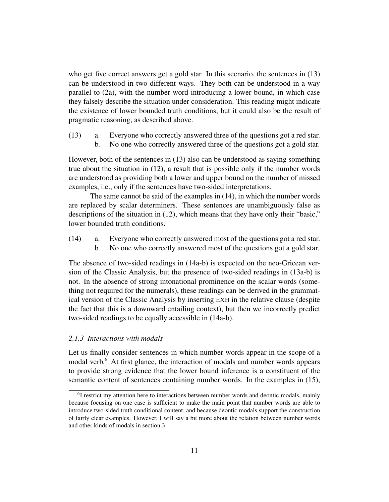who get five correct answers get a gold star. In this scenario, the sentences in (13) can be understood in two different ways. They both can be understood in a way parallel to (2a), with the number word introducing a lower bound, in which case they falsely describe the situation under consideration. This reading might indicate the existence of lower bounded truth conditions, but it could also be the result of pragmatic reasoning, as described above.

- (13) a. Everyone who correctly answered three of the questions got a red star.
	- b. No one who correctly answered three of the questions got a gold star.

However, both of the sentences in (13) also can be understood as saying something true about the situation in (12), a result that is possible only if the number words are understood as providing both a lower and upper bound on the number of missed examples, i.e., only if the sentences have two-sided interpretations.

The same cannot be said of the examples in (14), in which the number words are replaced by scalar determiners. These sentences are unambiguously false as descriptions of the situation in (12), which means that they have only their "basic," lower bounded truth conditions.

- (14) a. Everyone who correctly answered most of the questions got a red star.
	- b. No one who correctly answered most of the questions got a gold star.

The absence of two-sided readings in (14a-b) is expected on the neo-Gricean version of the Classic Analysis, but the presence of two-sided readings in (13a-b) is not. In the absence of strong intonational prominence on the scalar words (something not required for the numerals), these readings can be derived in the grammatical version of the Classic Analysis by inserting EXH in the relative clause (despite the fact that this is a downward entailing context), but then we incorrectly predict two-sided readings to be equally accessible in (14a-b).

## *2.1.3 Interactions with modals*

Let us finally consider sentences in which number words appear in the scope of a modal verb.<sup>6</sup> At first glance, the interaction of modals and number words appears to provide strong evidence that the lower bound inference is a constituent of the semantic content of sentences containing number words. In the examples in (15),

<sup>&</sup>lt;sup>6</sup>I restrict my attention here to interactions between number words and deontic modals, mainly because focusing on one case is sufficient to make the main point that number words are able to introduce two-sided truth conditional content, and because deontic modals support the construction of fairly clear examples. However, I will say a bit more about the relation between number words and other kinds of modals in section 3.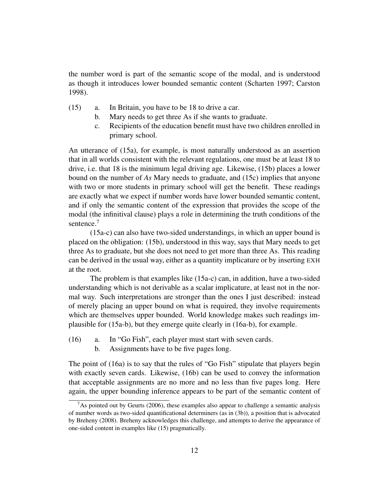the number word is part of the semantic scope of the modal, and is understood as though it introduces lower bounded semantic content (Scharten 1997; Carston 1998).

- (15) a. In Britain, you have to be 18 to drive a car.
	- b. Mary needs to get three As if she wants to graduate.
	- c. Recipients of the education benefit must have two children enrolled in primary school.

An utterance of (15a), for example, is most naturally understood as an assertion that in all worlds consistent with the relevant regulations, one must be at least 18 to drive, i.e. that 18 is the minimum legal driving age. Likewise, (15b) places a lower bound on the number of *As* Mary needs to graduate, and (15c) implies that anyone with two or more students in primary school will get the benefit. These readings are exactly what we expect if number words have lower bounded semantic content, and if only the semantic content of the expression that provides the scope of the modal (the infinitival clause) plays a role in determining the truth conditions of the sentence.<sup>7</sup>

(15a-c) can also have two-sided understandings, in which an upper bound is placed on the obligation: (15b), understood in this way, says that Mary needs to get three As to graduate, but she does not need to get more than three As. This reading can be derived in the usual way, either as a quantity implicature or by inserting EXH at the root.

The problem is that examples like (15a-c) can, in addition, have a two-sided understanding which is not derivable as a scalar implicature, at least not in the normal way. Such interpretations are stronger than the ones I just described: instead of merely placing an upper bound on what is required, they involve requirements which are themselves upper bounded. World knowledge makes such readings implausible for (15a-b), but they emerge quite clearly in (16a-b), for example.

- (16) a. In "Go Fish", each player must start with seven cards.
	- b. Assignments have to be five pages long.

The point of (16a) is to say that the rules of "Go Fish" stipulate that players begin with exactly seven cards. Likewise, (16b) can be used to convey the information that acceptable assignments are no more and no less than five pages long. Here again, the upper bounding inference appears to be part of the semantic content of

<sup>&</sup>lt;sup>7</sup>As pointed out by Geurts (2006), these examples also appear to challenge a semantic analysis of number words as two-sided quantificational determiners (as in (3b)), a position that is advocated by Breheny (2008). Breheny acknowledges this challenge, and attempts to derive the appearance of one-sided content in examples like (15) pragmatically.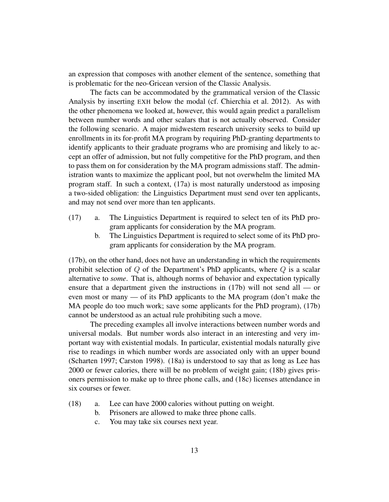an expression that composes with another element of the sentence, something that is problematic for the neo-Gricean version of the Classic Analysis.

The facts can be accommodated by the grammatical version of the Classic Analysis by inserting EXH below the modal (cf. Chierchia et al. 2012). As with the other phenomena we looked at, however, this would again predict a parallelism between number words and other scalars that is not actually observed. Consider the following scenario. A major midwestern research university seeks to build up enrollments in its for-profit MA program by requiring PhD-granting departments to identify applicants to their graduate programs who are promising and likely to accept an offer of admission, but not fully competitive for the PhD program, and then to pass them on for consideration by the MA program admissions staff. The administration wants to maximize the applicant pool, but not overwhelm the limited MA program staff. In such a context, (17a) is most naturally understood as imposing a two-sided obligation: the Linguistics Department must send over ten applicants, and may not send over more than ten applicants.

- (17) a. The Linguistics Department is required to select ten of its PhD program applicants for consideration by the MA program.
	- b. The Linguistics Department is required to select some of its PhD program applicants for consideration by the MA program.

(17b), on the other hand, does not have an understanding in which the requirements prohibit selection of  $Q$  of the Department's PhD applicants, where  $Q$  is a scalar alternative to *some*. That is, although norms of behavior and expectation typically ensure that a department given the instructions in  $(17b)$  will not send all — or even most or many — of its PhD applicants to the MA program (don't make the MA people do too much work; save some applicants for the PhD program), (17b) cannot be understood as an actual rule prohibiting such a move.

The preceding examples all involve interactions between number words and universal modals. But number words also interact in an interesting and very important way with existential modals. In particular, existential modals naturally give rise to readings in which number words are associated only with an upper bound (Scharten 1997; Carston 1998). (18a) is understood to say that as long as Lee has 2000 or fewer calories, there will be no problem of weight gain; (18b) gives prisoners permission to make up to three phone calls, and (18c) licenses attendance in six courses or fewer.

- (18) a. Lee can have 2000 calories without putting on weight.
	- b. Prisoners are allowed to make three phone calls.
	- c. You may take six courses next year.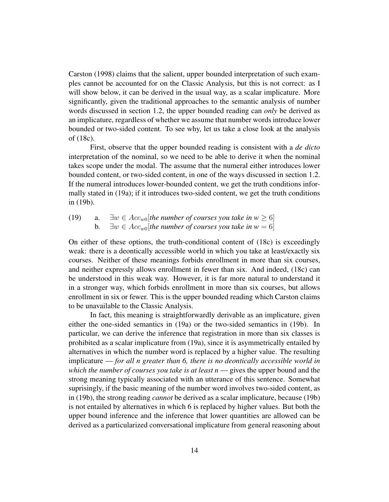Carston (1998) claims that the salient, upper bounded interpretation of such examples cannot be accounted for on the Classic Analysis, but this is not correct: as I will show below, it can be derived in the usual way, as a scalar implicature. More significantly, given the traditional approaches to the semantic analysis of number words discussed in section 1.2, the upper bounded reading can *only* be derived as an implicature, regardless of whether we assume that number words introduce lower bounded or two-sided content. To see why, let us take a close look at the analysis of (18c).

First, observe that the upper bounded reading is consistent with a *de dicto* interpretation of the nominal, so we need to be able to derive it when the nominal takes scope under the modal. The assume that the numeral either introduces lower bounded content, or two-sided content, in one of the ways discussed in section 1.2. If the numeral introduces lower-bounded content, we get the truth conditions informally stated in (19a); if it introduces two-sided content, we get the truth conditions in (19b).

(19) a.  $\exists w \in Acc_{w0}[the number of courses you take in w \ge 6]$ b.  $\exists w \in Acc_{w0}[the number of courses you take in w = 6]$ 

On either of these options, the truth-conditional content of (18c) is exceedingly weak: there is a deontically accessible world in which you take at least/exactly six courses. Neither of these meanings forbids enrollment in more than six courses, and neither expressly allows enrollment in fewer than six. And indeed, (18c) can be understood in this weak way. However, it is far more natural to understand it in a stronger way, which forbids enrollment in more than six courses, but allows enrollment in six or fewer. This is the upper bounded reading which Carston claims to be unavailable to the Classic Analysis.

In fact, this meaning is straightforwardly derivable as an implicature, given either the one-sided semantics in (19a) or the two-sided semantics in (19b). In particular, we can derive the inference that registration in more than six classes is prohibited as a scalar implicature from (19a), since it is asymmetrically entailed by alternatives in which the number word is replaced by a higher value. The resulting implicature — *for all n greater than 6, there is no deontically accessible world in which the number of courses you take is at least n* — gives the upper bound and the strong meaning typically associated with an utterance of this sentence. Somewhat suprisingly, if the basic meaning of the number word involves two-sided content, as in (19b), the strong reading *cannot* be derived as a scalar implicature, because (19b) is not entailed by alternatives in which 6 is replaced by higher values. But both the upper bound inference and the inference that lower quantities are allowed can be derived as a particularized conversational implicature from general reasoning about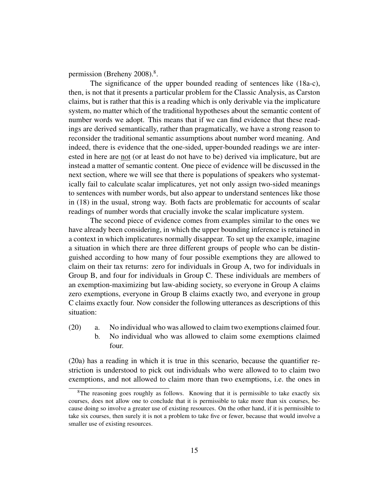permission (Breheny 2008).<sup>8</sup>.

The significance of the upper bounded reading of sentences like (18a-c), then, is not that it presents a particular problem for the Classic Analysis, as Carston claims, but is rather that this is a reading which is only derivable via the implicature system, no matter which of the traditional hypotheses about the semantic content of number words we adopt. This means that if we can find evidence that these readings are derived semantically, rather than pragmatically, we have a strong reason to reconsider the traditional semantic assumptions about number word meaning. And indeed, there is evidence that the one-sided, upper-bounded readings we are interested in here are not (or at least do not have to be) derived via implicature, but are instead a matter of semantic content. One piece of evidence will be discussed in the next section, where we will see that there is populations of speakers who systematically fail to calculate scalar implicatures, yet not only assign two-sided meanings to sentences with number words, but also appear to understand sentences like those in (18) in the usual, strong way. Both facts are problematic for accounts of scalar readings of number words that crucially invoke the scalar implicature system.

The second piece of evidence comes from examples similar to the ones we have already been considering, in which the upper bounding inference is retained in a context in which implicatures normally disappear. To set up the example, imagine a situation in which there are three different groups of people who can be distinguished according to how many of four possible exemptions they are allowed to claim on their tax returns: zero for individuals in Group A, two for individuals in Group B, and four for individuals in Group C. These individuals are members of an exemption-maximizing but law-abiding society, so everyone in Group A claims zero exemptions, everyone in Group B claims exactly two, and everyone in group C claims exactly four. Now consider the following utterances as descriptions of this situation:

- (20) a. No individual who was allowed to claim two exemptions claimed four.
	- b. No individual who was allowed to claim some exemptions claimed four.

(20a) has a reading in which it is true in this scenario, because the quantifier restriction is understood to pick out individuals who were allowed to to claim two exemptions, and not allowed to claim more than two exemptions, i.e. the ones in

<sup>&</sup>lt;sup>8</sup>The reasoning goes roughly as follows. Knowing that it is permissible to take exactly six courses, does not allow one to conclude that it is permissible to take more than six courses, because doing so involve a greater use of existing resources. On the other hand, if it is permissible to take six courses, then surely it is not a problem to take five or fewer, because that would involve a smaller use of existing resources.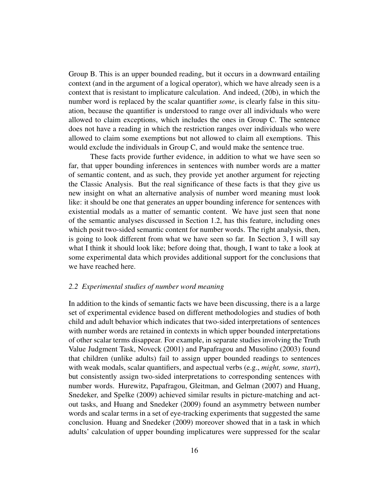Group B. This is an upper bounded reading, but it occurs in a downward entailing context (and in the argument of a logical operator), which we have already seen is a context that is resistant to implicature calculation. And indeed, (20b), in which the number word is replaced by the scalar quantifier *some*, is clearly false in this situation, because the quantifier is understood to range over all individuals who were allowed to claim exceptions, which includes the ones in Group C. The sentence does not have a reading in which the restriction ranges over individuals who were allowed to claim some exemptions but not allowed to claim all exemptions. This would exclude the individuals in Group C, and would make the sentence true.

These facts provide further evidence, in addition to what we have seen so far, that upper bounding inferences in sentences with number words are a matter of semantic content, and as such, they provide yet another argument for rejecting the Classic Analysis. But the real significance of these facts is that they give us new insight on what an alternative analysis of number word meaning must look like: it should be one that generates an upper bounding inference for sentences with existential modals as a matter of semantic content. We have just seen that none of the semantic analyses discussed in Section 1.2, has this feature, including ones which posit two-sided semantic content for number words. The right analysis, then, is going to look different from what we have seen so far. In Section 3, I will say what I think it should look like; before doing that, though, I want to take a look at some experimental data which provides additional support for the conclusions that we have reached here.

# *2.2 Experimental studies of number word meaning*

In addition to the kinds of semantic facts we have been discussing, there is a a large set of experimental evidence based on different methodologies and studies of both child and adult behavior which indicates that two-sided interpretations of sentences with number words are retained in contexts in which upper bounded interpretations of other scalar terms disappear. For example, in separate studies involving the Truth Value Judgment Task, Noveck (2001) and Papafragou and Musolino (2003) found that children (unlike adults) fail to assign upper bounded readings to sentences with weak modals, scalar quantifiers, and aspectual verbs (e.g., *might, some, start*), but consistently assign two-sided interpretations to corresponding sentences with number words. Hurewitz, Papafragou, Gleitman, and Gelman (2007) and Huang, Snedeker, and Spelke (2009) achieved similar results in picture-matching and actout tasks, and Huang and Snedeker (2009) found an asymmetry between number words and scalar terms in a set of eye-tracking experiments that suggested the same conclusion. Huang and Snedeker (2009) moreover showed that in a task in which adults' calculation of upper bounding implicatures were suppressed for the scalar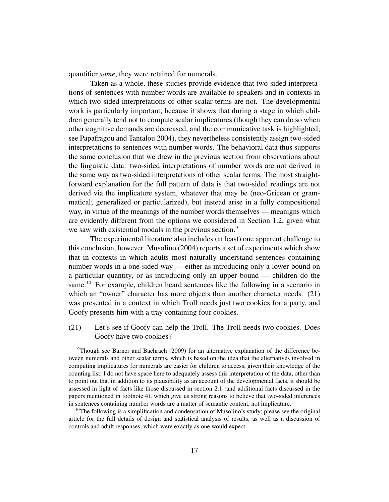quantifier *some*, they were retained for numerals.

Taken as a whole, these studies provide evidence that two-sided interpretations of sentences with number words are available to speakers and in contexts in which two-sided interpretations of other scalar terms are not. The developmental work is particularly important, because it shows that during a stage in which children generally tend not to compute scalar implicatures (though they can do so when other cognitive demands are decreased, and the communicative task is highlighted; see Papafragou and Tantalou 2004), they nevertheless consistently assign two-sided interpretations to sentences with number words. The behavioral data thus supports the same conclusion that we drew in the previous section from observations about the linguistic data: two-sided interpretations of number words are not derived in the same way as two-sided interpretations of other scalar terms. The most straightforward explanation for the full pattern of data is that two-sided readings are not derived via the implicature system, whatever that may be (neo-Gricean or grammatical; generalized or particularized), but instead arise in a fully compositional way, in virtue of the meanings of the number words themselves — meanigns which are evidently different from the options we considered in Section 1.2, given what we saw with existential modals in the previous section.<sup>9</sup>

The experimental literature also includes (at least) one apparent challenge to this conclusion, however. Musolino (2004) reports a set of experiments which show that in contexts in which adults most naturally understand sentences containing number words in a one-sided way — either as introducing only a lower bound on a particular quantity, or as introducing only an upper bound — children do the same.<sup>10</sup> For example, children heard sentences like the following in a scenario in which an "owner" character has more objects than another character needs. (21) was presented in a context in which Troll needs just two cookies for a party, and Goofy presents him with a tray containing four cookies.

(21) Let's see if Goofy can help the Troll. The Troll needs two cookies. Does Goofy have two cookies?

<sup>&</sup>lt;sup>9</sup>Though see Barner and Bachrach (2009) for an alternative explanation of the difference between numerals and other scalar terms, which is based on the idea that the alternatives involved in computing implicatures for numerals are easier for children to access, given their knowledge of the counting list. I do not have space here to adequately assess this interpretation of the data, other than to point out that in addition to its plausibility as an account of the developmental facts, it should be assessed in light of facts like those discussed in section 2.1 (and additional facts discussed in the papers mentioned in footnote 4), which give us strong reasons to believe that two-sided inferences in sentences containing number words are a matter of semantic content, not implicature.

<sup>&</sup>lt;sup>10</sup>The following is a simplification and condensation of Musolino's study; please see the original article for the full details of design and statistical analysis of results, as well as a discussion of controls and adult responses, which were exactly as one would expect.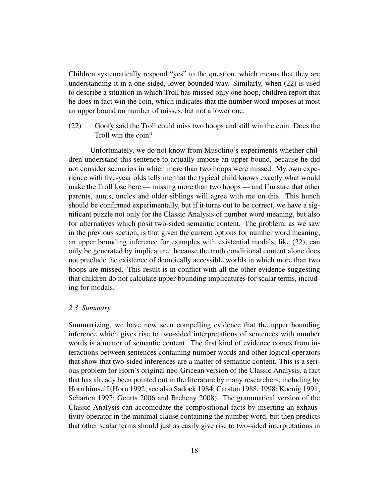Children systematically respond "yes" to the question, which means that they are understanding it in a one-sided, lower bounded way. Similarly, when (22) is used to describe a situation in which Troll has missed only one hoop, children report that he does in fact win the coin, which indicates that the number word imposes at most an upper bound on number of misses, but not a lower one.

(22) Goofy said the Troll could miss two hoops and still win the coin. Does the Troll win the coin?

Unfortunately, we do not know from Musolino's experiments whether children understand this sentence to actually impose an upper bound, because he did not consider scenarios in which more than two hoops were missed. My own experience with five-year olds tells me that the typical child knows exactly what would make the Troll lose here — missing more than two hoops — and I'm sure that other parents, aunts, uncles and older siblings will agree with me on this. This hunch should be confirmed experimentally, but if it turns out to be correct, we have a significant puzzle not only for the Classic Analysis of number word meaning, but also for alternatives which posit two-sided semantic content. The problem, as we saw in the previous section, is that given the current options for number word meaning, an upper bounding inference for examples with existential modals, like (22), can only be generated by implicature: because the truth conditional content alone does not preclude the existence of deontically accessible worlds in which more than two hoops are missed. This result is in conflict with all the other evidence suggesting that children do not calculate upper bounding implicatures for scalar terms, including for modals.

#### *2.3 Summary*

Summarizing, we have now seen compelling evidence that the upper bounding inference which gives rise to two-sided interpretations of sentences with number words is a matter of semantic content. The first kind of evidence comes from interactions between sentences containing number words and other logical operators that show that two-sided inferences are a matter of semantic content. This is a serious problem for Horn's original neo-Gricean version of the Classic Analysis, a fact that has already been pointed out in the literature by many researchers, including by Horn himself (Horn 1992; see also Sadock 1984; Carston 1988, 1998; Koenig 1991; Scharten 1997; Geurts 2006 and Breheny 2008). The grammatical version of the Classic Analysis can accomodate the compositional facts by inserting an exhaustivity operator in the minimal clause containing the number word, but then predicts that other scalar terms should just as easily give rise to two-sided interpretations in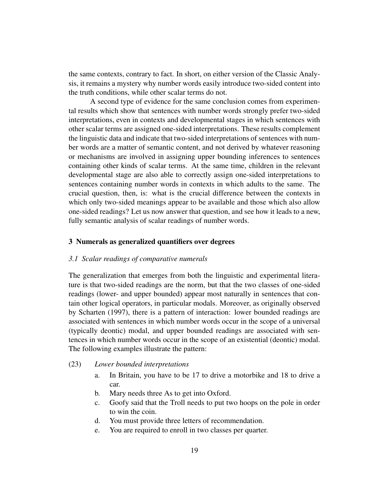the same contexts, contrary to fact. In short, on either version of the Classic Analysis, it remains a mystery why number words easily introduce two-sided content into the truth conditions, while other scalar terms do not.

A second type of evidence for the same conclusion comes from experimental results which show that sentences with number words strongly prefer two-sided interpretations, even in contexts and developmental stages in which sentences with other scalar terms are assigned one-sided interpretations. These results complement the linguistic data and indicate that two-sided interpretations of sentences with number words are a matter of semantic content, and not derived by whatever reasoning or mechanisms are involved in assigning upper bounding inferences to sentences containing other kinds of scalar terms. At the same time, children in the relevant developmental stage are also able to correctly assign one-sided interpretations to sentences containing number words in contexts in which adults to the same. The crucial question, then, is: what is the crucial difference between the contexts in which only two-sided meanings appear to be available and those which also allow one-sided readings? Let us now answer that question, and see how it leads to a new, fully semantic analysis of scalar readings of number words.

# 3 Numerals as generalized quantifiers over degrees

### *3.1 Scalar readings of comparative numerals*

The generalization that emerges from both the linguistic and experimental literature is that two-sided readings are the norm, but that the two classes of one-sided readings (lower- and upper bounded) appear most naturally in sentences that contain other logical operators, in particular modals. Moreover, as originally observed by Scharten (1997), there is a pattern of interaction: lower bounded readings are associated with sentences in which number words occur in the scope of a universal (typically deontic) modal, and upper bounded readings are associated with sentences in which number words occur in the scope of an existential (deontic) modal. The following examples illustrate the pattern:

# (23) *Lower bounded interpretations*

- a. In Britain, you have to be 17 to drive a motorbike and 18 to drive a car.
- b. Mary needs three As to get into Oxford.
- c. Goofy said that the Troll needs to put two hoops on the pole in order to win the coin.
- d. You must provide three letters of recommendation.
- e. You are required to enroll in two classes per quarter.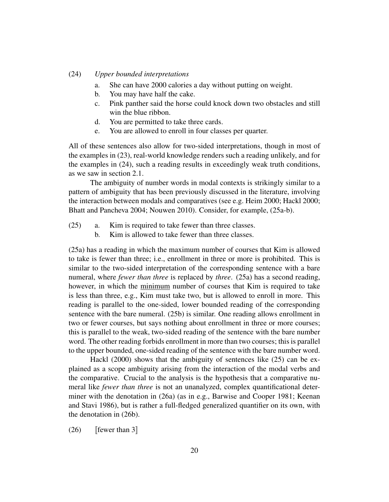#### (24) *Upper bounded interpretations*

- a. She can have 2000 calories a day without putting on weight.
- b. You may have half the cake.
- c. Pink panther said the horse could knock down two obstacles and still win the blue ribbon.
- d. You are permitted to take three cards.
- e. You are allowed to enroll in four classes per quarter.

All of these sentences also allow for two-sided interpretations, though in most of the examples in (23), real-world knowledge renders such a reading unlikely, and for the examples in (24), such a reading results in exceedingly weak truth conditions, as we saw in section 2.1.

The ambiguity of number words in modal contexts is strikingly similar to a pattern of ambiguity that has been previously discussed in the literature, involving the interaction between modals and comparatives (see e.g. Heim 2000; Hackl 2000; Bhatt and Pancheva 2004; Nouwen 2010). Consider, for example, (25a-b).

- (25) a. Kim is required to take fewer than three classes.
	- b. Kim is allowed to take fewer than three classes.

(25a) has a reading in which the maximum number of courses that Kim is allowed to take is fewer than three; i.e., enrollment in three or more is prohibited. This is similar to the two-sided interpretation of the corresponding sentence with a bare numeral, where *fewer than three* is replaced by *three*. (25a) has a second reading, however, in which the minimum number of courses that Kim is required to take is less than three, e.g., Kim must take two, but is allowed to enroll in more. This reading is parallel to the one-sided, lower bounded reading of the corresponding sentence with the bare numeral. (25b) is similar. One reading allows enrollment in two or fewer courses, but says nothing about enrollment in three or more courses; this is parallel to the weak, two-sided reading of the sentence with the bare number word. The other reading forbids enrollment in more than two courses; this is parallel to the upper bounded, one-sided reading of the sentence with the bare number word.

Hackl (2000) shows that the ambiguity of sentences like (25) can be explained as a scope ambiguity arising from the interaction of the modal verbs and the comparative. Crucial to the analysis is the hypothesis that a comparative numeral like *fewer than three* is not an unanalyzed, complex quantificational determiner with the denotation in (26a) (as in e.g., Barwise and Cooper 1981; Keenan and Stavi 1986), but is rather a full-fledged generalized quantifier on its own, with the denotation in (26b).

 $(26)$  [fewer than 3]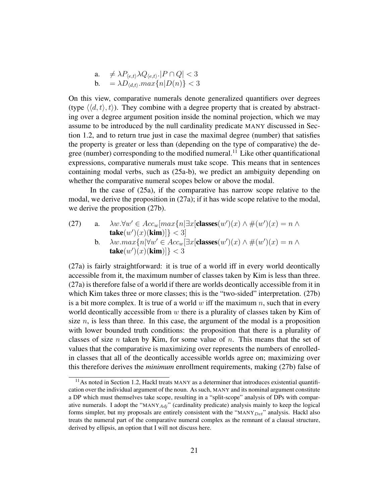a. 
$$
\neq \lambda P_{\langle e,t \rangle} \lambda Q_{\langle e,t \rangle} |P \cap Q| < 3
$$
  
b.  $= \lambda D_{\langle d,t \rangle} max\{n|D(n)\} < 3$ 

On this view, comparative numerals denote generalized quantifiers over degrees (type  $\langle \langle d, t \rangle, t \rangle$ ). They combine with a degree property that is created by abstracting over a degree argument position inside the nominal projection, which we may assume to be introduced by the null cardinality predicate MANY discussed in Section 1.2, and to return true just in case the maximal degree (number) that satisfies the property is greater or less than (depending on the type of comparative) the degree (number) corresponding to the modified numeral.<sup>11</sup> Like other quantificational expressions, comparative numerals must take scope. This means that in sentences containing modal verbs, such as (25a-b), we predict an ambiguity depending on whether the comparative numeral scopes below or above the modal.

In the case of (25a), if the comparative has narrow scope relative to the modal, we derive the proposition in (27a); if it has wide scope relative to the modal, we derive the proposition (27b).

(27) a.  $\lambda w.\forall w' \in Acc_w[\max\{n | \exists x [\text{classes}(w')(x) \land \#(w')(x) = n \land \}$  $\mathbf{take}(w')(x)(\mathbf{kim})]\}<3]$ b.  $\lambda w.max\{n | \forall w' \in Acc_w[\exists x[\text{classes}(w')(x) \land \#(w')(x) = n \land \}$  $\mathbf{take}(w')(x)(\mathbf{kim})]\}<3$ 

(27a) is fairly straightforward: it is true of a world iff in every world deontically accessible from it, the maximum number of classes taken by Kim is less than three. (27a) is therefore false of a world if there are worlds deontically accessible from it in which Kim takes three or more classes; this is the "two-sided" interpretation. (27b) is a bit more complex. It is true of a world  $w$  iff the maximum  $n$ , such that in every world deontically accessible from  $w$  there is a plurality of classes taken by Kim of size  $n$ , is less than three. In this case, the argument of the modal is a proposition with lower bounded truth conditions: the proposition that there is a plurality of classes of size *n* taken by Kim, for some value of *n*. This means that the set of values that the comparative is maximizing over represents the numbers of enrolledin classes that all of the deontically accessible worlds agree on; maximizing over this therefore derives the *minimum* enrollment requirements, making (27b) false of

 $11$ As noted in Section 1.2, Hackl treats MANY as a determiner that introduces existential quantification over the individual argument of the noun. As such, MANY and its nominal argument constitute a DP which must themselves take scope, resulting in a "split-scope" analysis of DPs with comparative numerals. I adopt the "MANY $_{Adj}$ " (cardinality predicate) analysis mainly to keep the logical forms simpler, but my proposals are entirely consistent with the "MANY $_{Det}$ " analysis. Hackl also treats the numeral part of the comparative numeral complex as the remnant of a clausal structure, derived by ellipsis, an option that I will not discuss here.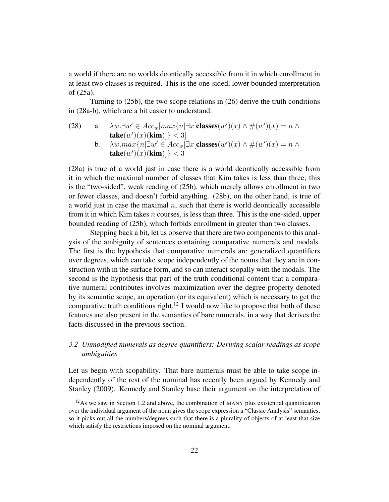a world if there are no worlds deontically accessible from it in which enrollment in at least two classes is required. This is the one-sided, lower bounded interpretation of (25a).

Turning to (25b), the two scope relations in (26) derive the truth conditions in (28a-b), which are a bit easier to understand.

- (28) a.  $\lambda w. \exists w' \in Acc_w[\max\{n | \exists x [\text{classes}(w')(x) \land \#(w')(x) = n \land \}$  $\mathbf{take}(w')(x)(\mathbf{kim})]\}<3]$ 
	- b.  $\lambda w.max\{n \mid \exists w' \in Acc_w[\exists x[\text{classes}(w')(x) \land \#(w')(x) = n \land \exists w \in \text{Image}(w')\}$  $\mathbf{take}(w')(x)(\mathbf{kim})]\}<3$

(28a) is true of a world just in case there is a world deontically accessible from it in which the maximal number of classes that Kim takes is less than three; this is the "two-sided", weak reading of (25b), which merely allows enrollment in two or fewer classes, and doesn't forbid anything. (28b), on the other hand, is true of a world just in case the maximal  $n$ , such that there is world deontically accessible from it in which Kim takes  $n$  courses, is less than three. This is the one-sided, upper bounded reading of (25b), which forbids enrollment in greater than two classes.

Stepping back a bit, let us observe that there are two components to this analysis of the ambiguity of sentences containing comparative numerals and modals. The first is the hypothesis that comparative numerals are generalized quantifiers over degrees, which can take scope independently of the nouns that they are in construction with in the surface form, and so can interact scopally with the modals. The second is the hypothesis that part of the truth conditional content that a comparative numeral contributes involves maximization over the degree property denoted by its semantic scope, an operation (or its equivalent) which is necessary to get the comparative truth conditions right.<sup>12</sup> I would now like to propose that both of these features are also present in the semantics of bare numerals, in a way that derives the facts discussed in the previous section.

*3.2 Unmodified numerals as degree quantifiers: Deriving scalar readings as scope ambiguities*

Let us begin with scopability. That bare numerals must be able to take scope independently of the rest of the nominal has recently been argued by Kennedy and Stanley (2009). Kennedy and Stanley base their argument on the interpretation of

 $12$ As we saw in Section 1.2 and above, the combination of MANY plus existential quantification over the individual argument of the noun gives the scope expression a "Classic Analysis" semantics, so it picks out all the numbers/degrees such that there is a plurality of objects of at least that size which satisfy the restrictions imposed on the nominal argument.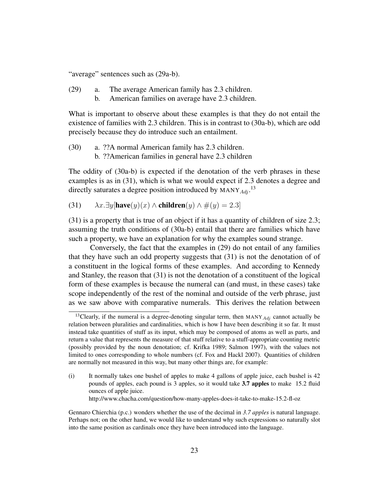"average" sentences such as (29a-b).

- (29) a. The average American family has 2.3 children.
	- b. American families on average have 2.3 children.

What is important to observe about these examples is that they do not entail the existence of families with 2.3 children. This is in contrast to (30a-b), which are odd precisely because they do introduce such an entailment.

(30) a. ??A normal American family has 2.3 children. b. ??American families in general have 2.3 children

The oddity of (30a-b) is expected if the denotation of the verb phrases in these examples is as in (31), which is what we would expect if 2.3 denotes a degree and directly saturates a degree position introduced by  $MANY_{Adj}$ .<sup>13</sup>

(31)  $\lambda x.\exists y$ [have(y)(x)  $\wedge$  children(y)  $\wedge \#(y) = 2.3$ ]

(31) is a property that is true of an object if it has a quantity of children of size 2.3; assuming the truth conditions of (30a-b) entail that there are families which have such a property, we have an explanation for why the examples sound strange.

Conversely, the fact that the examples in (29) do not entail of any families that they have such an odd property suggests that (31) is not the denotation of of a constituent in the logical forms of these examples. And according to Kennedy and Stanley, the reason that (31) is not the denotation of a constituent of the logical form of these examples is because the numeral can (and must, in these cases) take scope independently of the rest of the nominal and outside of the verb phrase, just as we saw above with comparative numerals. This derives the relation between

<sup>&</sup>lt;sup>13</sup>Clearly, if the numeral is a degree-denoting singular term, then MANY<sub>Adj</sub> cannot actually be relation between pluralities and cardinalities, which is how I have been describing it so far. It must instead take quantities of stuff as its input, which may be composed of atoms as well as parts, and return a value that represents the measure of that stuff relative to a stuff-appropriate counting metric (possibly provided by the noun denotation; cf. Krifka 1989; Salmon 1997), with the values not limited to ones corresponding to whole numbers (cf. Fox and Hackl 2007). Quantities of children are normally not measured in this way, but many other things are, for example:

<sup>(</sup>i) It normally takes one bushel of apples to make 4 gallons of apple juice, each bushel is 42 pounds of apples, each pound is 3 apples, so it would take 3.7 apples to make 15.2 fluid ounces of apple juice.

http://www.chacha.com/question/how-many-apples-does-it-take-to-make-15.2-fl-oz

Gennaro Chierchia (p.c.) wonders whether the use of the decimal in *3.7 apples* is natural language. Perhaps not; on the other hand, we would like to understand why such expressions so naturally slot into the same position as cardinals once they have been introduced into the language.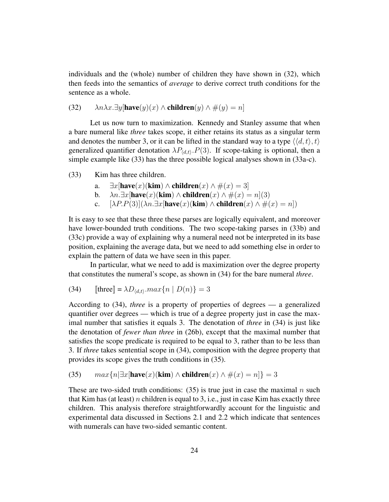individuals and the (whole) number of children they have shown in (32), which then feeds into the semantics of *average* to derive correct truth conditions for the sentence as a whole.

(32)  $\lambda n \lambda x. \exists y$ [have $(y)(x) \wedge$  children $(y) \wedge \#(y) = n$ ]

Let us now turn to maximization. Kennedy and Stanley assume that when a bare numeral like *three* takes scope, it either retains its status as a singular term and denotes the number 3, or it can be lifted in the standard way to a type  $\langle \langle d, t \rangle, t \rangle$ generalized quantifier denotation  $\lambda P_{(d,t)} \cdot P(3)$ . If scope-taking is optional, then a simple example like (33) has the three possible logical analyses shown in (33a-c).

(33) Kim has three children.

- a.  $\exists x$ [have $(x)$ (kim) ∧ children $(x) \wedge \#(x) = 3$ ]
- b.  $\lambda n.\exists x$ [have $(x)$ (kim) ∧ children $(x) \wedge \#(x) = n(3)$
- c.  $[\lambda P.P(3)](\lambda n.\exists x[\text{have}(x)(\text{kim}) \wedge \text{children}(x) \wedge \#(x) = n])$

It is easy to see that these three these parses are logically equivalent, and moreover have lower-bounded truth conditions. The two scope-taking parses in (33b) and (33c) provide a way of explaining why a numeral need not be interpreted in its base position, explaining the average data, but we need to add something else in order to explain the pattern of data we have seen in this paper.

In particular, what we need to add is maximization over the degree property that constitutes the numeral's scope, as shown in (34) for the bare numeral *three*.

$$
(34) \qquad \text{[three]} = \lambda D_{\langle d,t \rangle}.max\{n \mid D(n)\} = 3
$$

According to (34), *three* is a property of properties of degrees — a generalized quantifier over degrees — which is true of a degree property just in case the maximal number that satisfies it equals 3. The denotation of *three* in (34) is just like the denotation of *fewer than three* in (26b), except that the maximal number that satisfies the scope predicate is required to be equal to 3, rather than to be less than 3. If *three* takes sentential scope in (34), composition with the degree property that provides its scope gives the truth conditions in (35).

(35) 
$$
max\{n|\exists x[\textbf{have}(x)(\textbf{kim}) \land \textbf{children}(x) \land \#(x) = n]\} = 3
$$

These are two-sided truth conditions:  $(35)$  is true just in case the maximal n such that Kim has (at least) n children is equal to 3, i.e., just in case Kim has exactly three children. This analysis therefore straightforwardly account for the linguistic and experimental data discussed in Sections 2.1 and 2.2 which indicate that sentences with numerals can have two-sided semantic content.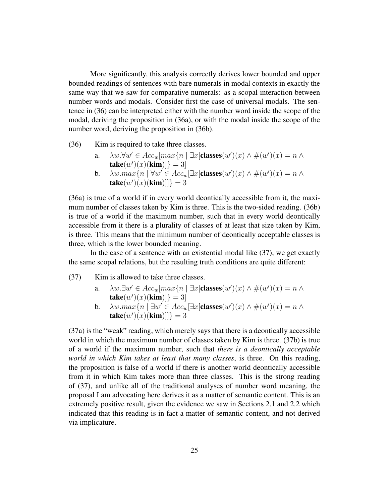More significantly, this analysis correctly derives lower bounded and upper bounded readings of sentences with bare numerals in modal contexts in exactly the same way that we saw for comparative numerals: as a scopal interaction between number words and modals. Consider first the case of universal modals. The sentence in (36) can be interpreted either with the number word inside the scope of the modal, deriving the proposition in (36a), or with the modal inside the scope of the number word, deriving the proposition in (36b).

(36) Kim is required to take three classes.

- a.  $\lambda w.\forall w' \in Acc_w[\max\{n \mid \exists x[\text{classes}(w')(x) \land \#(w')(x) = n \land \exists w \in \text{Image}(w')\}])$  $\mathbf{take}(w')(x)(\mathbf{kim})]\} = 3]$
- b.  $\lambda w.max\{n \mid \forall w' \in Acc_w[\exists x[\text{classes}(w')(x) \land \#(w')(x) = n \land \}$  $\mathbf{take}(w')(x)(\mathbf{kim})]]\} = 3$

(36a) is true of a world if in every world deontically accessible from it, the maximum number of classes taken by Kim is three. This is the two-sided reading. (36b) is true of a world if the maximum number, such that in every world deontically accessible from it there is a plurality of classes of at least that size taken by Kim, is three. This means that the minimum number of deontically acceptable classes is three, which is the lower bounded meaning.

In the case of a sentence with an existential modal like (37), we get exactly the same scopal relations, but the resulting truth conditions are quite different:

(37) Kim is allowed to take three classes.

- a.  $\lambda w. \exists w' \in Acc_w[max\{n \mid \exists x[\text{classes}(w')(x) \land \#(w')(x) = n \land \exists w$  $\mathbf{take}(w')(x)(\mathbf{kim})]\} = 3]$
- b.  $\lambda w.max\{n \mid \exists w' \in Acc_w[\exists x[\text{classes}(w')(x) \land \#(w')(x) = n \land \}$  $\mathbf{take}(w')(x)(\mathbf{kim})]]\} = 3$

(37a) is the "weak" reading, which merely says that there is a deontically accessible world in which the maximum number of classes taken by Kim is three. (37b) is true of a world if the maximum number, such that *there is a deontically acceptable world in which Kim takes at least that many classes*, is three. On this reading, the proposition is false of a world if there is another world deontically accessible from it in which Kim takes more than three classes. This is the strong reading of (37), and unlike all of the traditional analyses of number word meaning, the proposal I am advocating here derives it as a matter of semantic content. This is an extremely positive result, given the evidence we saw in Sections 2.1 and 2.2 which indicated that this reading is in fact a matter of semantic content, and not derived via implicature.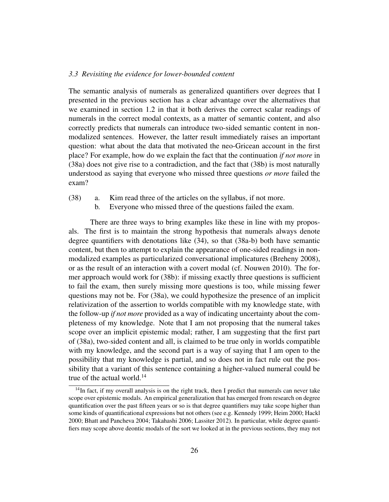#### *3.3 Revisiting the evidence for lower-bounded content*

The semantic analysis of numerals as generalized quantifiers over degrees that I presented in the previous section has a clear advantage over the alternatives that we examined in section 1.2 in that it both derives the correct scalar readings of numerals in the correct modal contexts, as a matter of semantic content, and also correctly predicts that numerals can introduce two-sided semantic content in nonmodalized sentences. However, the latter result immediately raises an important question: what about the data that motivated the neo-Gricean account in the first place? For example, how do we explain the fact that the continuation *if not more* in (38a) does not give rise to a contradiction, and the fact that (38b) is most naturally understood as saying that everyone who missed three questions *or more* failed the exam?

(38) a. Kim read three of the articles on the syllabus, if not more.

b. Everyone who missed three of the questions failed the exam.

There are three ways to bring examples like these in line with my proposals. The first is to maintain the strong hypothesis that numerals always denote degree quantifiers with denotations like (34), so that (38a-b) both have semantic content, but then to attempt to explain the appearance of one-sided readings in nonmodalized examples as particularized conversational implicatures (Breheny 2008), or as the result of an interaction with a covert modal (cf. Nouwen 2010). The former approach would work for (38b): if missing exactly three questions is sufficient to fail the exam, then surely missing more questions is too, while missing fewer questions may not be. For (38a), we could hypothesize the presence of an implicit relativization of the assertion to worlds compatible with my knowledge state, with the follow-up *if not more* provided as a way of indicating uncertainty about the completeness of my knowledge. Note that I am not proposing that the numeral takes scope over an implicit epistemic modal; rather, I am suggesting that the first part of (38a), two-sided content and all, is claimed to be true only in worlds compatible with my knowledge, and the second part is a way of saying that I am open to the possibility that my knowledge is partial, and so does not in fact rule out the possibility that a variant of this sentence containing a higher-valued numeral could be true of the actual world.<sup>14</sup>

<sup>&</sup>lt;sup>14</sup>In fact, if my overall analysis is on the right track, then I predict that numerals can never take scope over epistemic modals. An empirical generalization that has emerged from research on degree quantification over the past fifteen years or so is that degree quantifiers may take scope higher than some kinds of quantificational expressions but not others (see e.g. Kennedy 1999; Heim 2000; Hackl 2000; Bhatt and Pancheva 2004; Takahashi 2006; Lassiter 2012). In particular, while degree quantifiers may scope above deontic modals of the sort we looked at in the previous sections, they may not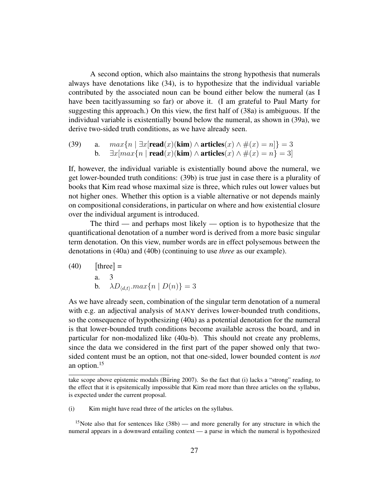A second option, which also maintains the strong hypothesis that numerals always have denotations like (34), is to hypothesize that the individual variable contributed by the associated noun can be bound either below the numeral (as I have been tacitlyassuming so far) or above it. (I am grateful to Paul Marty for suggesting this approach.) On this view, the first half of (38a) is ambiguous. If the individual variable is existentially bound below the numeral, as shown in (39a), we derive two-sided truth conditions, as we have already seen.

(39) a. 
$$
max\{n \mid \exists x[\text{read}(x)(\text{kim}) \land \text{articles}(x) \land \#(x) = n]\} = 3
$$
\nb.  $\exists x [max\{n \mid \text{read}(x)(\text{kim}) \land \text{articles}(x) \land \#(x) = n\} = 3]$ 

If, however, the individual variable is existentially bound above the numeral, we get lower-bounded truth conditions: (39b) is true just in case there is a plurality of books that Kim read whose maximal size is three, which rules out lower values but not higher ones. Whether this option is a viable alternative or not depends mainly on compositional considerations, in particular on where and how existential closure over the individual argument is introduced.

The third — and perhaps most likely — option is to hypothesize that the quantificational denotation of a number word is derived from a more basic singular term denotation. On this view, number words are in effect polysemous between the denotations in (40a) and (40b) (continuing to use *three* as our example).

(40) [three] =  
\na. 3  
\nb. 
$$
\lambda D_{(d,t)} \cdot max\{n \mid D(n)\} = 3
$$

As we have already seen, combination of the singular term denotation of a numeral with e.g. an adjectival analysis of MANY derives lower-bounded truth conditions, so the consequence of hypothesizing (40a) as a potential denotation for the numeral is that lower-bounded truth conditions become available across the board, and in particular for non-modalized like (40a-b). This should not create any problems, since the data we considered in the first part of the paper showed only that twosided content must be an option, not that one-sided, lower bounded content is *not* an option.<sup>15</sup>

take scope above epistemic modals (Büring 2007). So the fact that  $(i)$  lacks a "strong" reading, to the effect that it is epsitemically impossible that Kim read more than three articles on the syllabus, is expected under the current proposal.

<sup>(</sup>i) Kim might have read three of the articles on the syllabus.

<sup>&</sup>lt;sup>15</sup>Note also that for sentences like  $(38b)$  — and more generally for any structure in which the numeral appears in a downward entailing context — a parse in which the numeral is hypothesized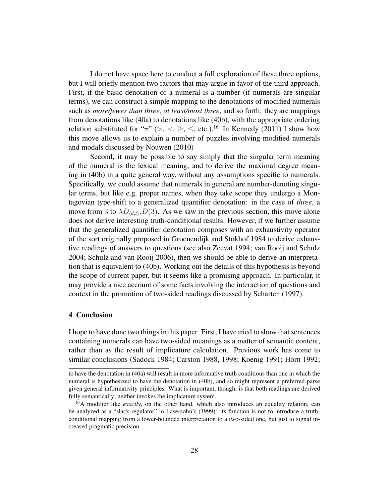I do not have space here to conduct a full exploration of these three options, but I will briefly mention two factors that may argue in favor of the third approach. First, if the basic denotation of a numeral is a number (if numerals are singular terms), we can construct a simple mapping to the denotations of modified numerals such as *more/fewer than three, at least/most three*, and so forth: they are mappings from denotations like (40a) to denotations like (40b), with the appropriate ordering relation substituted for "=" (>, <, >, <, etc.).<sup>16</sup> In Kennedy (2011) I show how this move allows us to explain a number of puzzles involving modified numerals and modals discussed by Nouwen (2010)

Second, it may be possible to say simply that the singular term meaning of the numeral is the lexical meaning, and to derive the maximal degree meaning in (40b) in a quite general way, without any assumptions specific to numerals. Specifically, we could assume that numerals in general are number-denoting singular terms, but like e.g. proper names, when they take scope they undergo a Montagovian type-shift to a generalized quantifier denotation: in the case of *three*, a move from 3 to  $\lambda D_{\langle d,t \rangle}$ .  $D(3)$ . As we saw in the previous section, this move alone does not derive interesting truth-conditional results. However, if we further assume that the generalized quantifier denotation composes with an exhaustivity operator of the sort originally proposed in Groenendijk and Stokhof 1984 to derive exhaustive readings of answers to questions (see also Zeevat 1994; van Rooij and Schulz 2004; Schulz and van Rooij 2006), then we should be able to derive an interpretation that is equivalent to (40b). Working out the details of this hypothesis is beyond the scope of current paper, but it seems like a promising approach. In particular, it may provide a nice account of some facts involving the interaction of questions and context in the promotion of two-sided readings discussed by Scharten (1997).

#### 4 Conclusion

I hope to have done two things in this paper. First, I have tried to show that sentences containing numerals can have two-sided meanings as a matter of semantic content, rather than as the result of implicature calculation. Previous work has come to similar conclusions (Sadock 1984; Carston 1988, 1998; Koenig 1991; Horn 1992;

to have the denotation in (40a) will result in more informative truth conditions than one in which the numeral is hypothesized to have the denotation in (40b), and so might represent a preferred parse given general informativity principles. What is important, though, is that both readings are derived fully semantically; neither invokes the implicature system.

<sup>&</sup>lt;sup>16</sup>A modifier like *exactly*, on the other hand, which also introduces an equality relation, can be analyzed as a "slack regulator" in Lasersohn's (1999): its function is not to introduce a truthconditional mapping from a lower-bounded interpretation to a two-sided one, but just to signal increased pragmatic precision.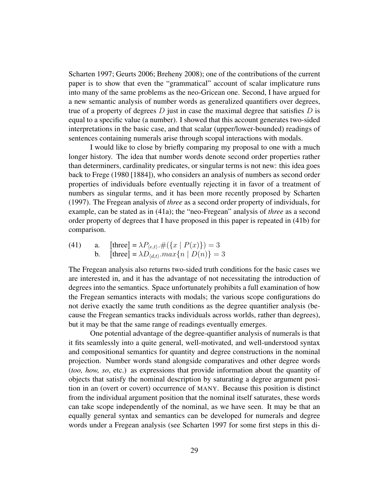Scharten 1997; Geurts 2006; Breheny 2008); one of the contributions of the current paper is to show that even the "grammatical" account of scalar implicature runs into many of the same problems as the neo-Gricean one. Second, I have argued for a new semantic analysis of number words as generalized quantifiers over degrees, true of a property of degrees  $D$  just in case the maximal degree that satisfies  $D$  is equal to a specific value (a number). I showed that this account generates two-sided interpretations in the basic case, and that scalar (upper/lower-bounded) readings of sentences containing numerals arise through scopal interactions with modals.

I would like to close by briefly comparing my proposal to one with a much longer history. The idea that number words denote second order properties rather than determiners, cardinality predicates, or singular terms is not new: this idea goes back to Frege (1980 [1884]), who considers an analysis of numbers as second order properties of individuals before eventually rejecting it in favor of a treatment of numbers as singular terms, and it has been more recently proposed by Scharten (1997). The Fregean analysis of *three* as a second order property of individuals, for example, can be stated as in (41a); the "neo-Fregean" analysis of *three* as a second order property of degrees that I have proposed in this paper is repeated in (41b) for comparison.

(41) a. [three] = 
$$
\lambda P_{\langle e,t \rangle}
$$
  $\#(\lbrace x | P(x) \rbrace) = 3$   
b. [three] =  $\lambda D_{\langle d,t \rangle}$   $\max{\lbrace n | D(n) \rbrace} = 3$ 

The Fregean analysis also returns two-sided truth conditions for the basic cases we are interested in, and it has the advantage of not necessitating the introduction of degrees into the semantics. Space unfortunately prohibits a full examination of how the Fregean semantics interacts with modals; the various scope configurations do not derive exactly the same truth conditions as the degree quantifier analysis (because the Fregean semantics tracks individuals across worlds, rather than degrees), but it may be that the same range of readings eventually emerges.

One potential advantage of the degree-quantifier analysis of numerals is that it fits seamlessly into a quite general, well-motivated, and well-understood syntax and compositional semantics for quantity and degree constructions in the nominal projection. Number words stand alongside comparatives and other degree words (*too, how, so*, etc.) as expressions that provide information about the quantity of objects that satisfy the nominal description by saturating a degree argument position in an (overt or covert) occurrence of MANY. Because this position is distinct from the individual argument position that the nominal itself saturates, these words can take scope independently of the nominal, as we have seen. It may be that an equally general syntax and semantics can be developed for numerals and degree words under a Fregean analysis (see Scharten 1997 for some first steps in this di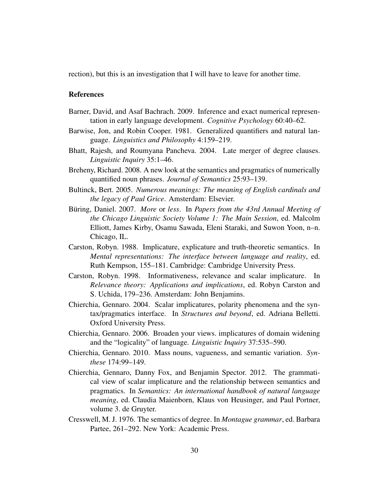rection), but this is an investigation that I will have to leave for another time.

#### References

- Barner, David, and Asaf Bachrach. 2009. Inference and exact numerical representation in early language development. *Cognitive Psychology* 60:40–62.
- Barwise, Jon, and Robin Cooper. 1981. Generalized quantifiers and natural language. *Linguistics and Philosophy* 4:159–219.
- Bhatt, Rajesh, and Roumyana Pancheva. 2004. Late merger of degree clauses. *Linguistic Inquiry* 35:1–46.
- Breheny, Richard. 2008. A new look at the semantics and pragmatics of numerically quantified noun phrases. *Journal of Semantics* 25:93–139.
- Bultinck, Bert. 2005. *Numerous meanings: The meaning of English cardinals and the legacy of Paul Grice*. Amsterdam: Elsevier.
- Büring, Daniel. 2007. More or less. In Papers from the 43rd Annual Meeting of *the Chicago Linguistic Society Volume 1: The Main Session*, ed. Malcolm Elliott, James Kirby, Osamu Sawada, Eleni Staraki, and Suwon Yoon, n–n. Chicago, IL.
- Carston, Robyn. 1988. Implicature, explicature and truth-theoretic semantics. In *Mental representations: The interface between language and reality*, ed. Ruth Kempson, 155–181. Cambridge: Cambridge University Press.
- Carston, Robyn. 1998. Informativeness, relevance and scalar implicature. In *Relevance theory: Applications and implications*, ed. Robyn Carston and S. Uchida, 179–236. Amsterdam: John Benjamins.
- Chierchia, Gennaro. 2004. Scalar implicatures, polarity phenomena and the syntax/pragmatics interface. In *Structures and beyond*, ed. Adriana Belletti. Oxford University Press.
- Chierchia, Gennaro. 2006. Broaden your views. implicatures of domain widening and the "logicality" of language. *Linguistic Inquiry* 37:535–590.
- Chierchia, Gennaro. 2010. Mass nouns, vagueness, and semantic variation. *Synthese* 174:99–149.
- Chierchia, Gennaro, Danny Fox, and Benjamin Spector. 2012. The grammatical view of scalar implicature and the relationship between semantics and pragmatics. In *Semantics: An international handbook of natural language meaning*, ed. Claudia Maienborn, Klaus von Heusinger, and Paul Portner, volume 3. de Gruyter.
- Cresswell, M. J. 1976. The semantics of degree. In *Montague grammar*, ed. Barbara Partee, 261–292. New York: Academic Press.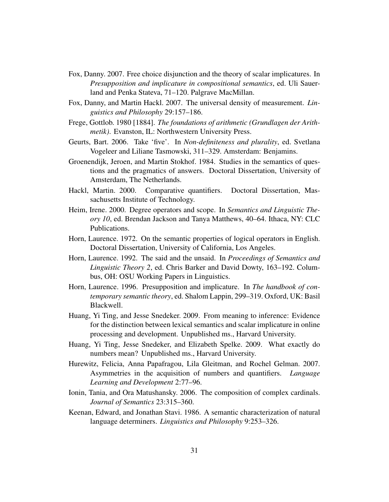- Fox, Danny. 2007. Free choice disjunction and the theory of scalar implicatures. In *Presupposition and implicature in compositional semantics*, ed. Uli Sauerland and Penka Stateva, 71–120. Palgrave MacMillan.
- Fox, Danny, and Martin Hackl. 2007. The universal density of measurement. *Linguistics and Philosophy* 29:157–186.
- Frege, Gottlob. 1980 [1884]. *The foundations of arithmetic (Grundlagen der Arithmetik)*. Evanston, IL: Northwestern University Press.
- Geurts, Bart. 2006. Take 'five'. In *Non-definiteness and plurality*, ed. Svetlana Vogeleer and Liliane Tasmowski, 311–329. Amsterdam: Benjamins.
- Groenendijk, Jeroen, and Martin Stokhof. 1984. Studies in the semantics of questions and the pragmatics of answers. Doctoral Dissertation, University of Amsterdam, The Netherlands.
- Hackl, Martin. 2000. Comparative quantifiers. Doctoral Dissertation, Massachusetts Institute of Technology.
- Heim, Irene. 2000. Degree operators and scope. In *Semantics and Linguistic Theory 10*, ed. Brendan Jackson and Tanya Matthews, 40–64. Ithaca, NY: CLC Publications.
- Horn, Laurence. 1972. On the semantic properties of logical operators in English. Doctoral Dissertation, University of California, Los Angeles.
- Horn, Laurence. 1992. The said and the unsaid. In *Proceedings of Semantics and Linguistic Theory 2*, ed. Chris Barker and David Dowty, 163–192. Columbus, OH: OSU Working Papers in Linguistics.
- Horn, Laurence. 1996. Presupposition and implicature. In *The handbook of contemporary semantic theory*, ed. Shalom Lappin, 299–319. Oxford, UK: Basil Blackwell.
- Huang, Yi Ting, and Jesse Snedeker. 2009. From meaning to inference: Evidence for the distinction between lexical semantics and scalar implicature in online processing and development. Unpublished ms., Harvard University.
- Huang, Yi Ting, Jesse Snedeker, and Elizabeth Spelke. 2009. What exactly do numbers mean? Unpublished ms., Harvard University.
- Hurewitz, Felicia, Anna Papafragou, Lila Gleitman, and Rochel Gelman. 2007. Asymmetries in the acquisition of numbers and quantifiers. *Language Learning and Development* 2:77–96.
- Ionin, Tania, and Ora Matushansky. 2006. The composition of complex cardinals. *Journal of Semantics* 23:315–360.
- Keenan, Edward, and Jonathan Stavi. 1986. A semantic characterization of natural language determiners. *Linguistics and Philosophy* 9:253–326.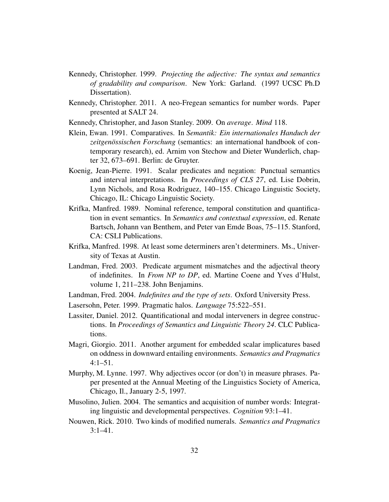- Kennedy, Christopher. 1999. *Projecting the adjective: The syntax and semantics of gradability and comparison*. New York: Garland. (1997 UCSC Ph.D Dissertation).
- Kennedy, Christopher. 2011. A neo-Fregean semantics for number words. Paper presented at SALT 24.
- Kennedy, Christopher, and Jason Stanley. 2009. On *average*. *Mind* 118.
- Klein, Ewan. 1991. Comparatives. In *Semantik: Ein internationales Handuch der* zeitgenössischen Forschung (semantics: an international handbook of contemporary research), ed. Arnim von Stechow and Dieter Wunderlich, chapter 32, 673–691. Berlin: de Gruyter.
- Koenig, Jean-Pierre. 1991. Scalar predicates and negation: Punctual semantics and interval interpretations. In *Proceedings of CLS 27*, ed. Lise Dobrin, Lynn Nichols, and Rosa Rodriguez, 140–155. Chicago Linguistic Society, Chicago, IL: Chicago Linguistic Society.
- Krifka, Manfred. 1989. Nominal reference, temporal constitution and quantification in event semantics. In *Semantics and contextual expression*, ed. Renate Bartsch, Johann van Benthem, and Peter van Emde Boas, 75–115. Stanford, CA: CSLI Publications.
- Krifka, Manfred. 1998. At least some determiners aren't determiners. Ms., University of Texas at Austin.
- Landman, Fred. 2003. Predicate argument mismatches and the adjectival theory of indefinites. In *From NP to DP*, ed. Martine Coene and Yves d'Hulst, volume 1, 211–238. John Benjamins.
- Landman, Fred. 2004. *Indefinites and the type of sets*. Oxford University Press.
- Lasersohn, Peter. 1999. Pragmatic halos. *Language* 75:522–551.
- Lassiter, Daniel. 2012. Quantificational and modal interveners in degree constructions. In *Proceedings of Semantics and Linguistic Theory 24*. CLC Publications.
- Magri, Giorgio. 2011. Another argument for embedded scalar implicatures based on oddness in downward entailing environments. *Semantics and Pragmatics* 4:1–51.
- Murphy, M. Lynne. 1997. Why adjectives occor (or don't) in measure phrases. Paper presented at the Annual Meeting of the Linguistics Society of America, Chicago, Il., January 2-5, 1997.
- Musolino, Julien. 2004. The semantics and acquisition of number words: Integrating linguistic and developmental perspectives. *Cognition* 93:1–41.
- Nouwen, Rick. 2010. Two kinds of modified numerals. *Semantics and Pragmatics*  $3:1-41$ .